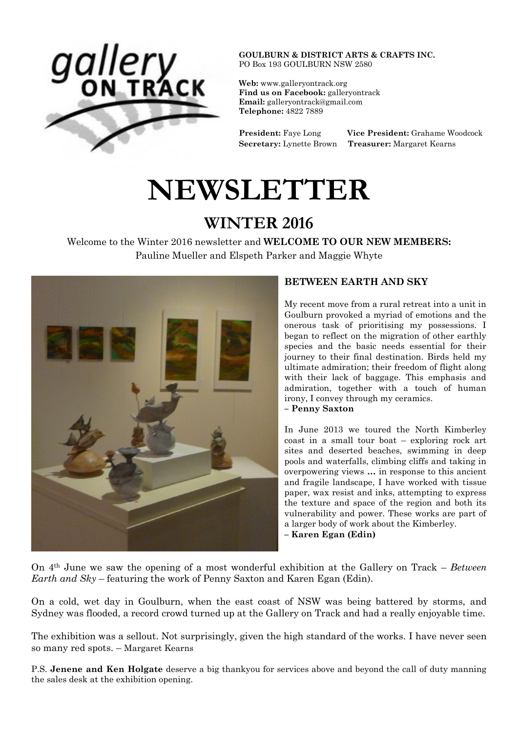

**GOULBURN & DISTRICT ARTS & CRAFTS INC.** PO Box 193 GOULBURN NSW 2580

**Web:** [www.galleryontrack.org](http://webmail.bigpond.com/webedge/do/redirect?url=http%253A%252F%252Fwww.galleryontrack.org&hmac=2e5f12dd9d29e74bb5e5b39b6fdd4ae9) **Find us on Facebook:** galleryontrack **Email:** [galleryontrack@gmail.com](http://webmail.bigpond.com/webedge/do/mail/message/mailto?to=galleryontrack%40gmail.com) **Telephone:** 4822 7889

**President:** Faye Long **Vice President:** Grahame Woodcock **Secretary:** Lynette Brown **Treasurer:** Margaret Kearns

# **NEWSLETTER**

# **WINTER 2016**

Welcome to the Winter 2016 newsletter and **WELCOME TO OUR NEW MEMBERS:** Pauline Mueller and Elspeth Parker and Maggie Whyte



# **BETWEEN EARTH AND SKY**

My recent move from a rural retreat into a unit in Goulburn provoked a myriad of emotions and the onerous task of prioritising my possessions. I began to reflect on the migration of other earthly species and the basic needs essential for their journey to their final destination. Birds held my ultimate admiration; their freedom of flight along with their lack of baggage. This emphasis and admiration, together with a touch of human irony, I convey through my ceramics.

#### **– Penny Saxton**

In June 2013 we toured the North Kimberley coast in a small tour boat – exploring rock art sites and deserted beaches, swimming in deep pools and waterfalls, climbing cliffs and taking in overpowering views **…** in response to this ancient and fragile landscape, I have worked with tissue paper, wax resist and inks, attempting to express the texture and space of the region and both its vulnerability and power. These works are part of a larger body of work about the Kimberley.

**– Karen Egan (Edin)**

On 4th June we saw the opening of a most wonderful exhibition at the Gallery on Track – *Between Earth and Sky* – featuring the work of Penny Saxton and Karen Egan (Edin).

On a cold, wet day in Goulburn, when the east coast of NSW was being battered by storms, and Sydney was flooded, a record crowd turned up at the Gallery on Track and had a really enjoyable time.

The exhibition was a sellout. Not surprisingly, given the high standard of the works. I have never seen so many red spots. – Margaret Kearns

P.S. **Jenene and Ken Holgate** deserve a big thankyou for services above and beyond the call of duty manning the sales desk at the exhibition opening.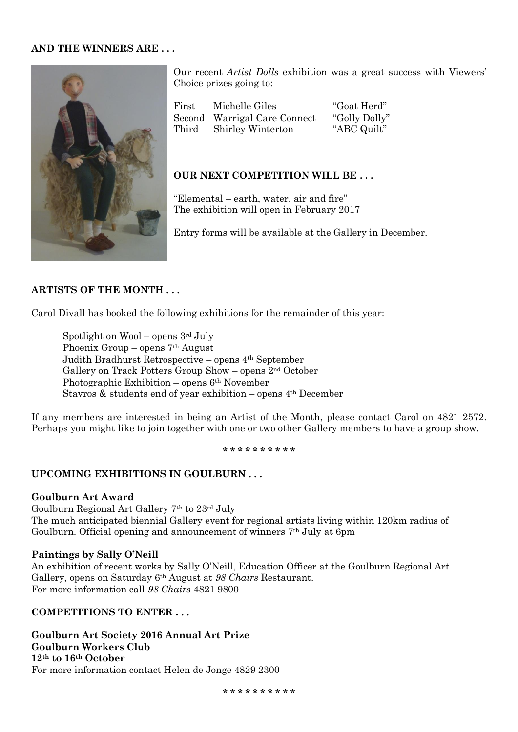#### **AND THE WINNERS ARE . . .**



Our recent *Artist Dolls* exhibition was a great success with Viewers' Choice prizes going to:

| First | Michelle Giles               | "Goat Herd"   |
|-------|------------------------------|---------------|
|       | Second Warrigal Care Connect | "Golly Dolly" |
| Third | <b>Shirley Winterton</b>     | "ABC Quilt"   |

#### **OUR NEXT COMPETITION WILL BE . . .**

"Elemental – earth, water, air and fire" The exhibition will open in February 2017

Entry forms will be available at the Gallery in December.

#### **ARTISTS OF THE MONTH . . .**

Carol Divall has booked the following exhibitions for the remainder of this year:

Spotlight on  $Wool$  – opens  $3<sup>rd</sup>$  July Phoenix Group – opens 7th August Judith Bradhurst Retrospective – opens 4th September Gallery on Track Potters Group Show – opens 2nd October Photographic Exhibition – opens 6th November Stavros & students end of year exhibition – opens 4th December

If any members are interested in being an Artist of the Month, please contact Carol on 4821 2572. Perhaps you might like to join together with one or two other Gallery members to have a group show.

#### **\* \* \* \* \* \* \* \* \* \***

#### **UPCOMING EXHIBITIONS IN GOULBURN . . .**

#### **Goulburn Art Award**

Goulburn Regional Art Gallery 7th to 23rd July The much anticipated biennial Gallery event for regional artists living within 120km radius of Goulburn. Official opening and announcement of winners 7th July at 6pm

#### **Paintings by Sally O'Neill**

An exhibition of recent works by Sally O'Neill, Education Officer at the Goulburn Regional Art Gallery, opens on Saturday 6th August at *98 Chairs* Restaurant. For more information call *98 Chairs* 4821 9800

#### **COMPETITIONS TO ENTER . . .**

**Goulburn Art Society 2016 Annual Art Prize Goulburn Workers Club 12th to 16th October** For more information contact Helen de Jonge 4829 2300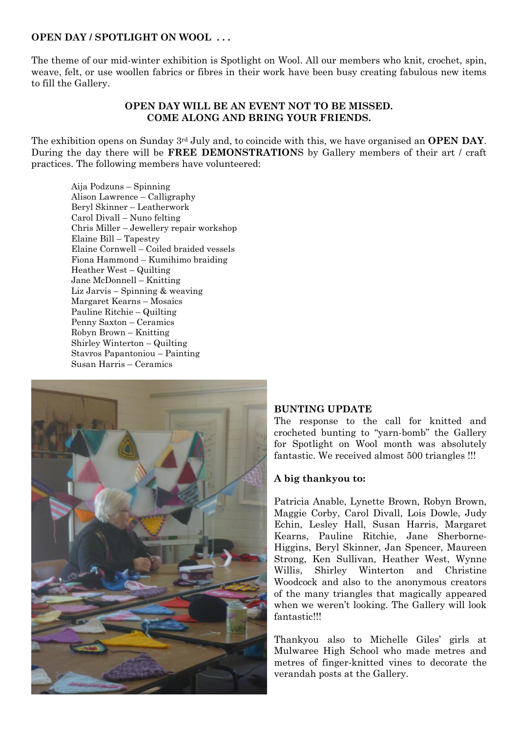#### **OPEN DAY / SPOTLIGHT ON WOOL . . .**

The theme of our mid-winter exhibition is Spotlight on Wool. All our members who knit, crochet, spin, weave, felt, or use woollen fabrics or fibres in their work have been busy creating fabulous new items to fill the Gallery.

#### **OPEN DAY WILL BE AN EVENT NOT TO BE MISSED. COME ALONG AND BRING YOUR FRIENDS.**

The exhibition opens on Sunday 3rd July and, to coincide with this, we have organised an **OPEN DAY**. During the day there will be **FREE DEMONSTRATION**S by Gallery members of their art / craft practices. The following members have volunteered:

Aija Podzuns – Spinning Alison Lawrence – Calligraphy Beryl Skinner – Leatherwork Carol Divall – Nuno felting Chris Miller – Jewellery repair workshop Elaine Bill – Tapestry Elaine Cornwell – Coiled braided vessels Fiona Hammond – Kumihimo braiding Heather West – Quilting Jane McDonnell – Knitting Liz Jarvis – Spinning & weaving Margaret Kearns – Mosaics Pauline Ritchie – Quilting Penny Saxton – Ceramics Robyn Brown – Knitting Shirley Winterton – Quilting Stavros Papantoniou – Painting Susan Harris – Ceramics



#### **BUNTING UPDATE**

The response to the call for knitted and crocheted bunting to "yarn-bomb" the Gallery for Spotlight on Wool month was absolutely fantastic. We received almost 500 triangles !!!

#### **A big thankyou to:**

Patricia Anable, Lynette Brown, Robyn Brown, Maggie Corby, Carol Divall, Lois Dowle, Judy Echin, Lesley Hall, Susan Harris, Margaret Kearns, Pauline Ritchie, Jane Sherborne-Higgins, Beryl Skinner, Jan Spencer, Maureen Strong, Ken Sullivan, Heather West, Wynne Willis, Shirley Winterton and Christine Woodcock and also to the anonymous creators of the many triangles that magically appeared when we weren't looking. The Gallery will look fantastic!!!

Thankyou also to Michelle Giles' girls at Mulwaree High School who made metres and metres of finger-knitted vines to decorate the verandah posts at the Gallery.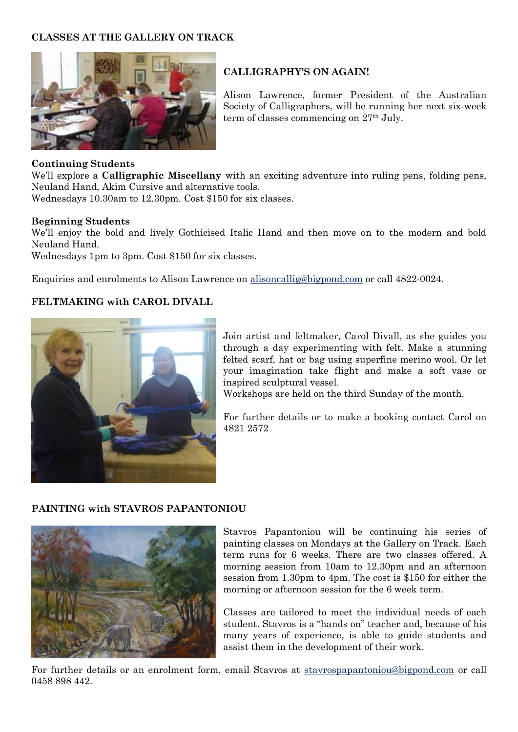# **CLASSES AT THE GALLERY ON TRACK**



# **CALLIGRAPHY'S ON AGAIN!**

Alison Lawrence, former President of the Australian Society of Calligraphers, will be running her next six-week term of classes commencing on 27th July.

#### **Continuing Students**

We'll explore a **Calligraphic Miscellany** with an exciting adventure into ruling pens, folding pens, Neuland Hand, Akim Cursive and alternative tools.

Wednesdays 10.30am to 12.30pm. Cost \$150 for six classes.

#### **Beginning Students**

We'll enjoy the bold and lively Gothicised Italic Hand and then move on to the modern and bold Neuland Hand.

Wednesdays 1pm to 3pm. Cost \$150 for six classes.

Enquiries and enrolments to Alison Lawrence on [alisoncallig@bigpond.com](mailto:alisoncallig@bigpond.com) or call 4822-0024.

# **FELTMAKING with CAROL DIVALL**



Join artist and feltmaker, Carol Divall, as she guides you through a day experimenting with felt. Make a stunning felted scarf, hat or bag using superfine merino wool. Or let your imagination take flight and make a soft vase or inspired sculptural vessel.

Workshops are held on the third Sunday of the month.

For further details or to make a booking contact Carol on 4821 2572

#### **PAINTING with STAVROS PAPANTONIOU**



Stavros Papantoniou will be continuing his series of painting classes on Mondays at the Gallery on Track. Each term runs for 6 weeks. There are two classes offered. A morning session from 10am to 12.30pm and an afternoon session from 1.30pm to 4pm. The cost is \$150 for either the morning or afternoon session for the 6 week term.

Classes are tailored to meet the individual needs of each student. Stavros is a "hands on" teacher and, because of his many years of experience, is able to guide students and assist them in the development of their work.

For further details or an enrolment form, email Stavros at [stavrospapantoniou@bigpond.com](http://webmail.bigpond.com/webedge/do/mail/message/mailto?to=stavrospapantoniou%40bigpond.com) or call 0458 898 442.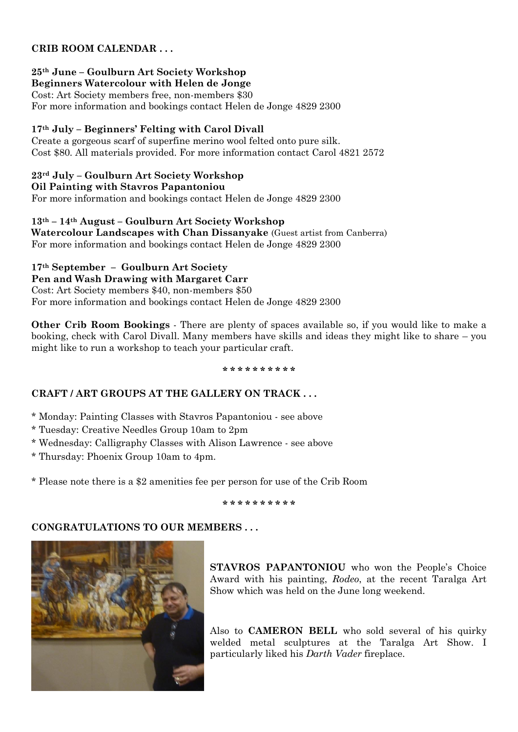# **CRIB ROOM CALENDAR . . .**

#### **25th June – Goulburn Art Society Workshop Beginners Watercolour with Helen de Jonge**

Cost: Art Society members free, non-members \$30 For more information and bookings contact Helen de Jonge 4829 2300

# **17th July – Beginners' Felting with Carol Divall**

Create a gorgeous scarf of superfine merino wool felted onto pure silk. Cost \$80. All materials provided. For more information contact Carol 4821 2572

# **23rd July – Goulburn Art Society Workshop**

**Oil Painting with Stavros Papantoniou**

For more information and bookings contact Helen de Jonge 4829 2300

**13th – 14th August – Goulburn Art Society Workshop Watercolour Landscapes with Chan Dissanyake** (Guest artist from Canberra) For more information and bookings contact Helen de Jonge 4829 2300

# **17th September – Goulburn Art Society**

**Pen and Wash Drawing with Margaret Carr** Cost: Art Society members \$40, non-members \$50 For more information and bookings contact Helen de Jonge 4829 2300

**Other Crib Room Bookings** - There are plenty of spaces available so, if you would like to make a booking, check with Carol Divall. Many members have skills and ideas they might like to share – you might like to run a workshop to teach your particular craft.

#### **\* \* \* \* \* \* \* \* \* \***

# **CRAFT / ART GROUPS AT THE GALLERY ON TRACK . . .**

\* Monday: Painting Classes with Stavros Papantoniou - see above

- \* Tuesday: Creative Needles Group 10am to 2pm
- \* Wednesday: Calligraphy Classes with Alison Lawrence see above

\* Thursday: Phoenix Group 10am to 4pm.

\* Please note there is a \$2 amenities fee per person for use of the Crib Room

**\* \* \* \* \* \* \* \* \* \***

# **CONGRATULATIONS TO OUR MEMBERS . . .**



**STAVROS PAPANTONIOU** who won the People's Choice Award with his painting, *Rodeo*, at the recent Taralga Art Show which was held on the June long weekend.

Also to **CAMERON BELL** who sold several of his quirky welded metal sculptures at the Taralga Art Show. I particularly liked his *Darth Vader* fireplace.